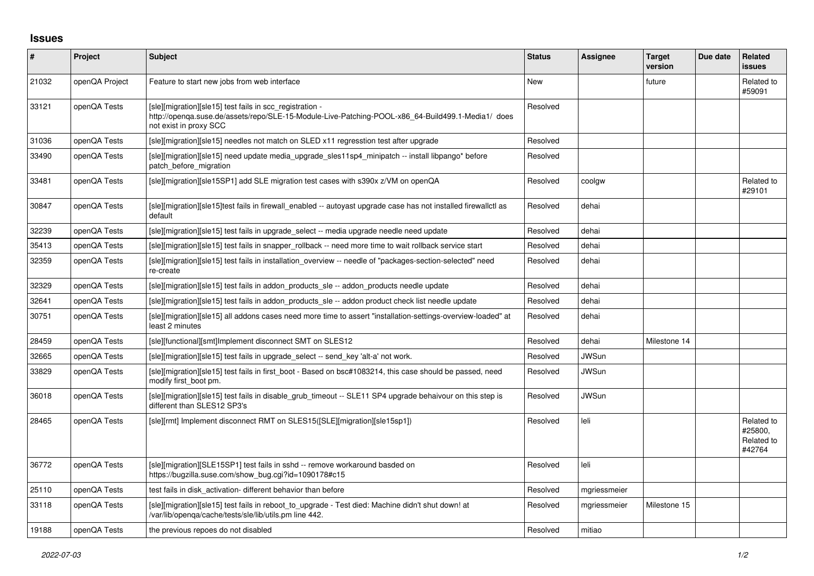## **Issues**

| #     | Project        | <b>Subject</b>                                                                                                                                                                          | <b>Status</b> | <b>Assignee</b> | <b>Target</b><br>version | Due date | Related<br>issues                             |
|-------|----------------|-----------------------------------------------------------------------------------------------------------------------------------------------------------------------------------------|---------------|-----------------|--------------------------|----------|-----------------------------------------------|
| 21032 | openQA Project | Feature to start new jobs from web interface                                                                                                                                            | <b>New</b>    |                 | future                   |          | Related to<br>#59091                          |
| 33121 | openQA Tests   | [sle][migration][sle15] test fails in scc_registration -<br>http://openqa.suse.de/assets/repo/SLE-15-Module-Live-Patching-POOL-x86 64-Build499.1-Media1/ does<br>not exist in proxy SCC | Resolved      |                 |                          |          |                                               |
| 31036 | openQA Tests   | [sle][migration][sle15] needles not match on SLED x11 regresstion test after upgrade                                                                                                    | Resolved      |                 |                          |          |                                               |
| 33490 | openQA Tests   | [sle][migration][sle15] need update media upgrade sles11sp4 minipatch -- install libpango* before<br>patch before migration                                                             | Resolved      |                 |                          |          |                                               |
| 33481 | openQA Tests   | [sle][migration][sle15SP1] add SLE migration test cases with s390x z/VM on openQA                                                                                                       | Resolved      | coolgw          |                          |          | Related to<br>#29101                          |
| 30847 | openQA Tests   | [sle][migration][sle15]test fails in firewall_enabled -- autoyast upgrade case has not installed firewallctl as<br>default                                                              | Resolved      | dehai           |                          |          |                                               |
| 32239 | openQA Tests   | [sle][migration][sle15] test fails in upgrade select -- media upgrade needle need update                                                                                                | Resolved      | dehai           |                          |          |                                               |
| 35413 | openQA Tests   | [sle][migration][sle15] test fails in snapper rollback -- need more time to wait rollback service start                                                                                 | Resolved      | dehai           |                          |          |                                               |
| 32359 | openQA Tests   | [sle][migration][sle15] test fails in installation overview -- needle of "packages-section-selected" need<br>re-create                                                                  | Resolved      | dehai           |                          |          |                                               |
| 32329 | openQA Tests   | [sle][migration][sle15] test fails in addon products sle -- addon products needle update                                                                                                | Resolved      | dehai           |                          |          |                                               |
| 32641 | openQA Tests   | [sle][migration][sle15] test fails in addon products sle -- addon product check list needle update                                                                                      | Resolved      | dehai           |                          |          |                                               |
| 30751 | openQA Tests   | [sle][migration][sle15] all addons cases need more time to assert "installation-settings-overview-loaded" at<br>least 2 minutes                                                         | Resolved      | dehai           |                          |          |                                               |
| 28459 | openQA Tests   | [sle][functional][smt]Implement disconnect SMT on SLES12                                                                                                                                | Resolved      | dehai           | Milestone 14             |          |                                               |
| 32665 | openQA Tests   | [sle][migration][sle15] test fails in upgrade select -- send key 'alt-a' not work.                                                                                                      | Resolved      | <b>JWSun</b>    |                          |          |                                               |
| 33829 | openQA Tests   | [sle][migration][sle15] test fails in first_boot - Based on bsc#1083214, this case should be passed, need<br>modify first boot pm.                                                      | Resolved      | <b>JWSun</b>    |                          |          |                                               |
| 36018 | openQA Tests   | [sle][migration][sle15] test fails in disable grub timeout -- SLE11 SP4 upgrade behaivour on this step is<br>different than SLES12 SP3's                                                | Resolved      | JWSun           |                          |          |                                               |
| 28465 | openQA Tests   | [sle][rmt] Implement disconnect RMT on SLES15([SLE][migration][sle15sp1])                                                                                                               | Resolved      | leli            |                          |          | Related to<br>#25800.<br>Related to<br>#42764 |
| 36772 | openQA Tests   | [sle][migration][SLE15SP1] test fails in sshd -- remove workaround basded on<br>https://bugzilla.suse.com/show_bug.cgi?id=1090178#c15                                                   | Resolved      | leli            |                          |          |                                               |
| 25110 | openQA Tests   | test fails in disk_activation- different behavior than before                                                                                                                           | Resolved      | mgriessmeier    |                          |          |                                               |
| 33118 | openQA Tests   | [sle][migration][sle15] test fails in reboot to upgrade - Test died: Machine didn't shut down! at<br>/var/lib/openga/cache/tests/sle/lib/utils.pm line 442.                             | Resolved      | mgriessmeier    | Milestone 15             |          |                                               |
| 19188 | openQA Tests   | the previous repoes do not disabled                                                                                                                                                     | Resolved      | mitiao          |                          |          |                                               |